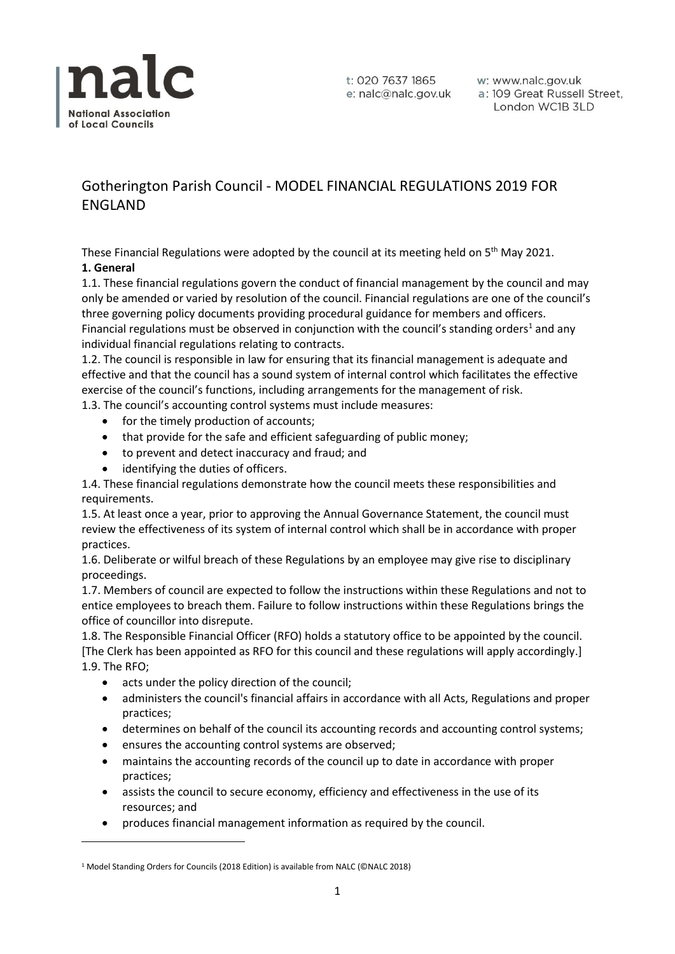

w: www.nalc.gov.uk a: 109 Great Russell Street, London WC1B 3LD

# Gotherington Parish Council - MODEL FINANCIAL REGULATIONS 2019 FOR ENGLAND

These Financial Regulations were adopted by the council at its meeting held on  $5<sup>th</sup>$  May 2021. **1. General**

1.1. These financial regulations govern the conduct of financial management by the council and may only be amended or varied by resolution of the council. Financial regulations are one of the council's three governing policy documents providing procedural guidance for members and officers. Financial regulations must be observed in conjunction with the council's standing orders<sup>1</sup> and any individual financial regulations relating to contracts.

1.2. The council is responsible in law for ensuring that its financial management is adequate and effective and that the council has a sound system of internal control which facilitates the effective exercise of the council's functions, including arrangements for the management of risk.

1.3. The council's accounting control systems must include measures:

- for the timely production of accounts;
- that provide for the safe and efficient safeguarding of public money;
- to prevent and detect inaccuracy and fraud; and
- identifying the duties of officers.

1.4. These financial regulations demonstrate how the council meets these responsibilities and requirements.

1.5. At least once a year, prior to approving the Annual Governance Statement, the council must review the effectiveness of its system of internal control which shall be in accordance with proper practices.

1.6. Deliberate or wilful breach of these Regulations by an employee may give rise to disciplinary proceedings.

1.7. Members of council are expected to follow the instructions within these Regulations and not to entice employees to breach them. Failure to follow instructions within these Regulations brings the office of councillor into disrepute.

1.8. The Responsible Financial Officer (RFO) holds a statutory office to be appointed by the council. [The Clerk has been appointed as RFO for this council and these regulations will apply accordingly.] 1.9. The RFO;

- acts under the policy direction of the council;
- administers the council's financial affairs in accordance with all Acts, Regulations and proper practices;
- determines on behalf of the council its accounting records and accounting control systems;
- ensures the accounting control systems are observed;
- maintains the accounting records of the council up to date in accordance with proper practices;
- assists the council to secure economy, efficiency and effectiveness in the use of its resources; and
- produces financial management information as required by the council.

<sup>&</sup>lt;sup>1</sup> Model Standing Orders for Councils (2018 Edition) is available from NALC (©NALC 2018)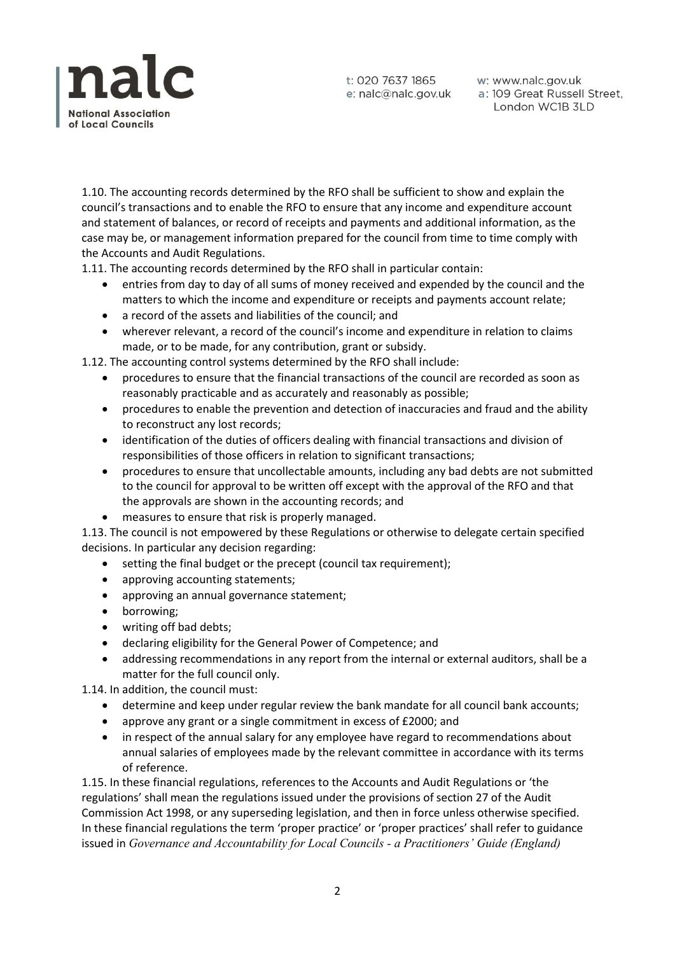

w: www.nalc.gov.uk a: 109 Great Russell Street, London WC1B 3LD

1.10. The accounting records determined by the RFO shall be sufficient to show and explain the council's transactions and to enable the RFO to ensure that any income and expenditure account and statement of balances, or record of receipts and payments and additional information, as the case may be, or management information prepared for the council from time to time comply with the Accounts and Audit Regulations.

1.11. The accounting records determined by the RFO shall in particular contain:

- entries from day to day of all sums of money received and expended by the council and the matters to which the income and expenditure or receipts and payments account relate;
- a record of the assets and liabilities of the council; and
- wherever relevant, a record of the council's income and expenditure in relation to claims made, or to be made, for any contribution, grant or subsidy.

1.12. The accounting control systems determined by the RFO shall include:

- procedures to ensure that the financial transactions of the council are recorded as soon as reasonably practicable and as accurately and reasonably as possible;
- procedures to enable the prevention and detection of inaccuracies and fraud and the ability to reconstruct any lost records;
- identification of the duties of officers dealing with financial transactions and division of responsibilities of those officers in relation to significant transactions;
- procedures to ensure that uncollectable amounts, including any bad debts are not submitted to the council for approval to be written off except with the approval of the RFO and that the approvals are shown in the accounting records; and
- measures to ensure that risk is properly managed.

1.13. The council is not empowered by these Regulations or otherwise to delegate certain specified decisions. In particular any decision regarding:

- setting the final budget or the precept (council tax requirement);
- approving accounting statements;
- approving an annual governance statement;
- borrowing;
- writing off bad debts;
- declaring eligibility for the General Power of Competence; and
- addressing recommendations in any report from the internal or external auditors, shall be a matter for the full council only.

1.14. In addition, the council must:

- determine and keep under regular review the bank mandate for all council bank accounts;
- approve any grant or a single commitment in excess of £2000; and
- in respect of the annual salary for any employee have regard to recommendations about annual salaries of employees made by the relevant committee in accordance with its terms of reference.

1.15. In these financial regulations, references to the Accounts and Audit Regulations or 'the regulations' shall mean the regulations issued under the provisions of section 27 of the Audit Commission Act 1998, or any superseding legislation, and then in force unless otherwise specified. In these financial regulations the term 'proper practice' or 'proper practices' shall refer to guidance issued in *Governance and Accountability for Local Councils - a Practitioners' Guide (England)*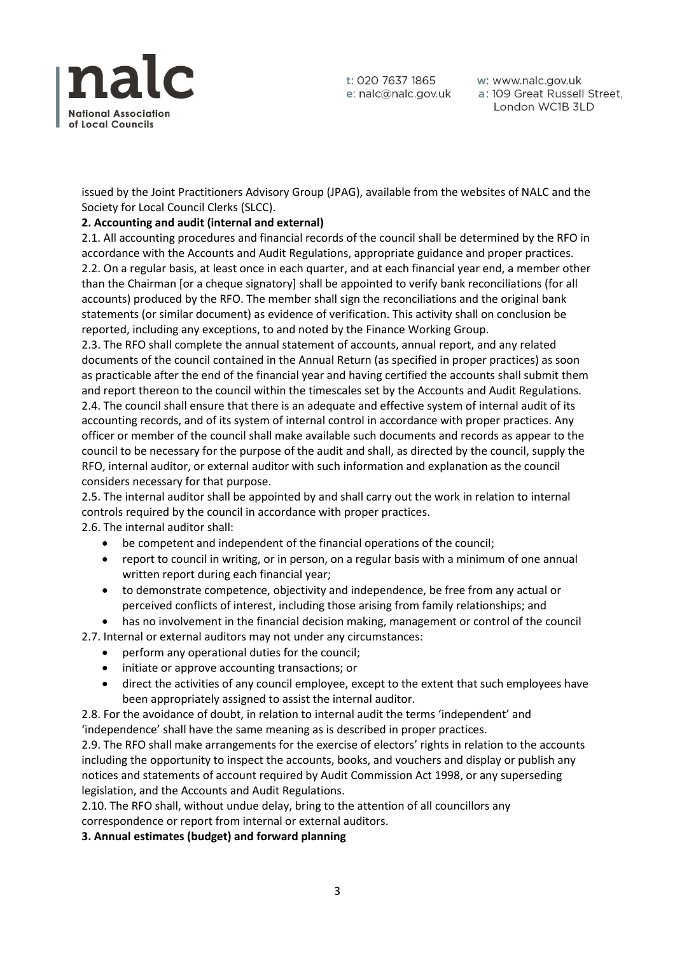

w: www.nalc.gov.uk a: 109 Great Russell Street, London WC1B 3LD

issued by the Joint Practitioners Advisory Group (JPAG), available from the websites of NALC and the Society for Local Council Clerks (SLCC).

# **2. Accounting and audit (internal and external)**

2.1. All accounting procedures and financial records of the council shall be determined by the RFO in accordance with the Accounts and Audit Regulations, appropriate guidance and proper practices. 2.2. On a regular basis, at least once in each quarter, and at each financial year end, a member other than the Chairman [or a cheque signatory] shall be appointed to verify bank reconciliations (for all accounts) produced by the RFO. The member shall sign the reconciliations and the original bank statements (or similar document) as evidence of verification. This activity shall on conclusion be reported, including any exceptions, to and noted by the Finance Working Group.

2.3. The RFO shall complete the annual statement of accounts, annual report, and any related documents of the council contained in the Annual Return (as specified in proper practices) as soon as practicable after the end of the financial year and having certified the accounts shall submit them and report thereon to the council within the timescales set by the Accounts and Audit Regulations. 2.4. The council shall ensure that there is an adequate and effective system of internal audit of its accounting records, and of its system of internal control in accordance with proper practices. Any officer or member of the council shall make available such documents and records as appear to the council to be necessary for the purpose of the audit and shall, as directed by the council, supply the RFO, internal auditor, or external auditor with such information and explanation as the council considers necessary for that purpose.

2.5. The internal auditor shall be appointed by and shall carry out the work in relation to internal controls required by the council in accordance with proper practices.

2.6. The internal auditor shall:

- be competent and independent of the financial operations of the council;
- report to council in writing, or in person, on a regular basis with a minimum of one annual written report during each financial year;
- to demonstrate competence, objectivity and independence, be free from any actual or perceived conflicts of interest, including those arising from family relationships; and
- has no involvement in the financial decision making, management or control of the council
- 2.7. Internal or external auditors may not under any circumstances:
	- perform any operational duties for the council;
	- initiate or approve accounting transactions; or
	- direct the activities of any council employee, except to the extent that such employees have been appropriately assigned to assist the internal auditor.

2.8. For the avoidance of doubt, in relation to internal audit the terms 'independent' and 'independence' shall have the same meaning as is described in proper practices.

2.9. The RFO shall make arrangements for the exercise of electors' rights in relation to the accounts including the opportunity to inspect the accounts, books, and vouchers and display or publish any notices and statements of account required by Audit Commission Act 1998, or any superseding legislation, and the Accounts and Audit Regulations.

2.10. The RFO shall, without undue delay, bring to the attention of all councillors any correspondence or report from internal or external auditors.

**3. Annual estimates (budget) and forward planning**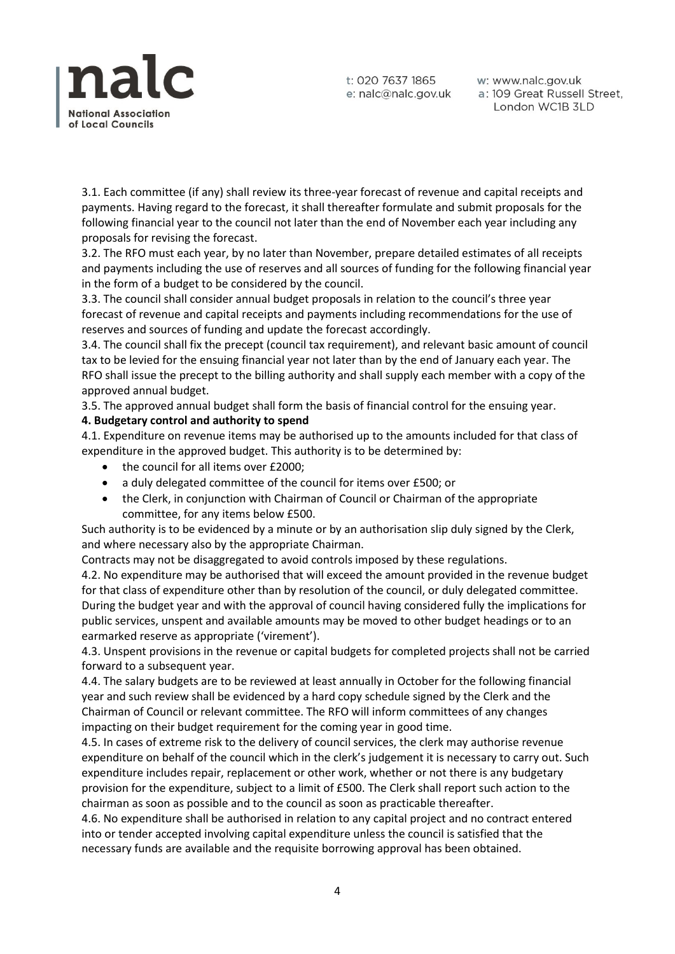

w: www.nalc.gov.uk a: 109 Great Russell Street, London WC1B 3LD

3.1. Each committee (if any) shall review its three-year forecast of revenue and capital receipts and payments. Having regard to the forecast, it shall thereafter formulate and submit proposals for the following financial year to the council not later than the end of November each year including any proposals for revising the forecast.

3.2. The RFO must each year, by no later than November, prepare detailed estimates of all receipts and payments including the use of reserves and all sources of funding for the following financial year in the form of a budget to be considered by the council.

3.3. The council shall consider annual budget proposals in relation to the council's three year forecast of revenue and capital receipts and payments including recommendations for the use of reserves and sources of funding and update the forecast accordingly.

3.4. The council shall fix the precept (council tax requirement), and relevant basic amount of council tax to be levied for the ensuing financial year not later than by the end of January each year. The RFO shall issue the precept to the billing authority and shall supply each member with a copy of the approved annual budget.

3.5. The approved annual budget shall form the basis of financial control for the ensuing year.

# **4. Budgetary control and authority to spend**

4.1. Expenditure on revenue items may be authorised up to the amounts included for that class of expenditure in the approved budget. This authority is to be determined by:

- the council for all items over £2000;
- a duly delegated committee of the council for items over £500; or
- the Clerk, in conjunction with Chairman of Council or Chairman of the appropriate committee, for any items below £500.

Such authority is to be evidenced by a minute or by an authorisation slip duly signed by the Clerk, and where necessary also by the appropriate Chairman.

Contracts may not be disaggregated to avoid controls imposed by these regulations.

4.2. No expenditure may be authorised that will exceed the amount provided in the revenue budget for that class of expenditure other than by resolution of the council, or duly delegated committee. During the budget year and with the approval of council having considered fully the implications for public services, unspent and available amounts may be moved to other budget headings or to an earmarked reserve as appropriate ('virement').

4.3. Unspent provisions in the revenue or capital budgets for completed projects shall not be carried forward to a subsequent year.

4.4. The salary budgets are to be reviewed at least annually in October for the following financial year and such review shall be evidenced by a hard copy schedule signed by the Clerk and the Chairman of Council or relevant committee. The RFO will inform committees of any changes impacting on their budget requirement for the coming year in good time.

4.5. In cases of extreme risk to the delivery of council services, the clerk may authorise revenue expenditure on behalf of the council which in the clerk's judgement it is necessary to carry out. Such expenditure includes repair, replacement or other work, whether or not there is any budgetary provision for the expenditure, subject to a limit of £500. The Clerk shall report such action to the chairman as soon as possible and to the council as soon as practicable thereafter.

4.6. No expenditure shall be authorised in relation to any capital project and no contract entered into or tender accepted involving capital expenditure unless the council is satisfied that the necessary funds are available and the requisite borrowing approval has been obtained.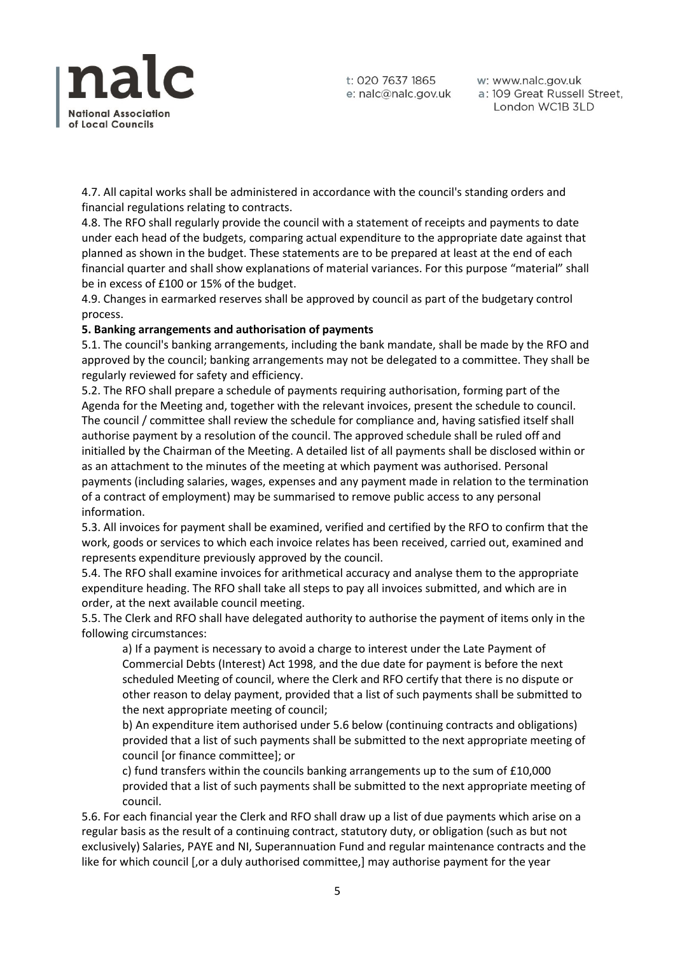

w: www.nalc.gov.uk a: 109 Great Russell Street, London WC1B 3LD

4.7. All capital works shall be administered in accordance with the council's standing orders and financial regulations relating to contracts.

4.8. The RFO shall regularly provide the council with a statement of receipts and payments to date under each head of the budgets, comparing actual expenditure to the appropriate date against that planned as shown in the budget. These statements are to be prepared at least at the end of each financial quarter and shall show explanations of material variances. For this purpose "material" shall be in excess of £100 or 15% of the budget.

4.9. Changes in earmarked reserves shall be approved by council as part of the budgetary control process.

#### **5. Banking arrangements and authorisation of payments**

5.1. The council's banking arrangements, including the bank mandate, shall be made by the RFO and approved by the council; banking arrangements may not be delegated to a committee. They shall be regularly reviewed for safety and efficiency.

5.2. The RFO shall prepare a schedule of payments requiring authorisation, forming part of the Agenda for the Meeting and, together with the relevant invoices, present the schedule to council. The council / committee shall review the schedule for compliance and, having satisfied itself shall authorise payment by a resolution of the council. The approved schedule shall be ruled off and initialled by the Chairman of the Meeting. A detailed list of all payments shall be disclosed within or as an attachment to the minutes of the meeting at which payment was authorised. Personal payments (including salaries, wages, expenses and any payment made in relation to the termination of a contract of employment) may be summarised to remove public access to any personal information.

5.3. All invoices for payment shall be examined, verified and certified by the RFO to confirm that the work, goods or services to which each invoice relates has been received, carried out, examined and represents expenditure previously approved by the council.

5.4. The RFO shall examine invoices for arithmetical accuracy and analyse them to the appropriate expenditure heading. The RFO shall take all steps to pay all invoices submitted, and which are in order, at the next available council meeting.

5.5. The Clerk and RFO shall have delegated authority to authorise the payment of items only in the following circumstances:

a) If a payment is necessary to avoid a charge to interest under the Late Payment of Commercial Debts (Interest) Act 1998, and the due date for payment is before the next scheduled Meeting of council, where the Clerk and RFO certify that there is no dispute or other reason to delay payment, provided that a list of such payments shall be submitted to the next appropriate meeting of council;

b) An expenditure item authorised under 5.6 below (continuing contracts and obligations) provided that a list of such payments shall be submitted to the next appropriate meeting of council [or finance committee]; or

c) fund transfers within the councils banking arrangements up to the sum of £10,000 provided that a list of such payments shall be submitted to the next appropriate meeting of council.

5.6. For each financial year the Clerk and RFO shall draw up a list of due payments which arise on a regular basis as the result of a continuing contract, statutory duty, or obligation (such as but not exclusively) Salaries, PAYE and NI, Superannuation Fund and regular maintenance contracts and the like for which council [,or a duly authorised committee,] may authorise payment for the year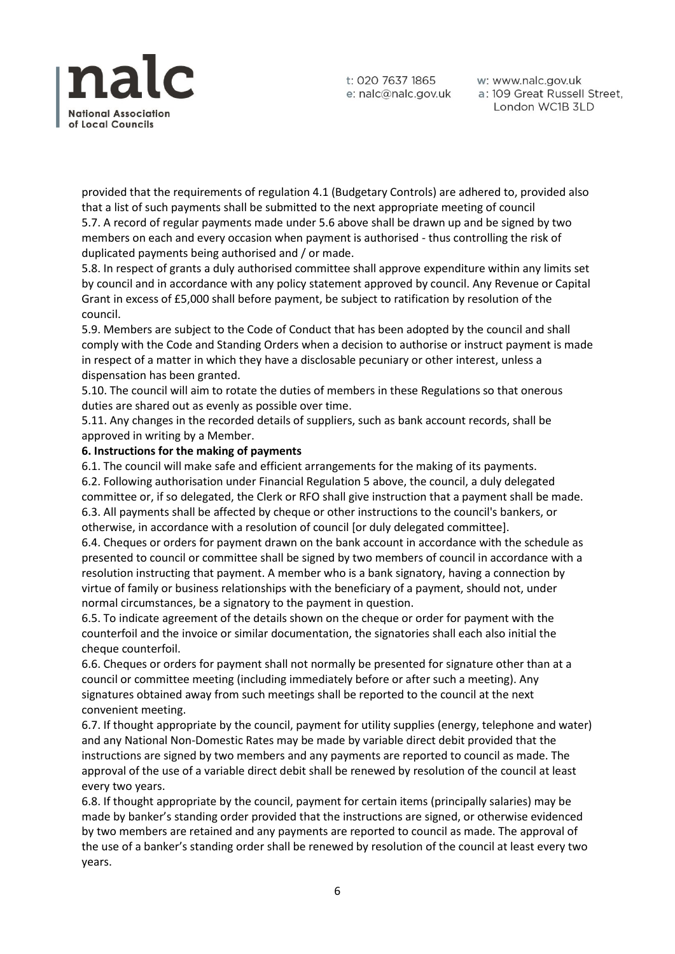

w: www.nalc.gov.uk a: 109 Great Russell Street, London WC1B 3LD

provided that the requirements of regulation 4.1 (Budgetary Controls) are adhered to, provided also that a list of such payments shall be submitted to the next appropriate meeting of council 5.7. A record of regular payments made under 5.6 above shall be drawn up and be signed by two members on each and every occasion when payment is authorised - thus controlling the risk of duplicated payments being authorised and / or made.

5.8. In respect of grants a duly authorised committee shall approve expenditure within any limits set by council and in accordance with any policy statement approved by council. Any Revenue or Capital Grant in excess of £5,000 shall before payment, be subject to ratification by resolution of the council.

5.9. Members are subject to the Code of Conduct that has been adopted by the council and shall comply with the Code and Standing Orders when a decision to authorise or instruct payment is made in respect of a matter in which they have a disclosable pecuniary or other interest, unless a dispensation has been granted.

5.10. The council will aim to rotate the duties of members in these Regulations so that onerous duties are shared out as evenly as possible over time.

5.11. Any changes in the recorded details of suppliers, such as bank account records, shall be approved in writing by a Member.

#### **6. Instructions for the making of payments**

6.1. The council will make safe and efficient arrangements for the making of its payments. 6.2. Following authorisation under Financial Regulation 5 above, the council, a duly delegated committee or, if so delegated, the Clerk or RFO shall give instruction that a payment shall be made. 6.3. All payments shall be affected by cheque or other instructions to the council's bankers, or otherwise, in accordance with a resolution of council [or duly delegated committee].

6.4. Cheques or orders for payment drawn on the bank account in accordance with the schedule as presented to council or committee shall be signed by two members of council in accordance with a resolution instructing that payment. A member who is a bank signatory, having a connection by virtue of family or business relationships with the beneficiary of a payment, should not, under normal circumstances, be a signatory to the payment in question.

6.5. To indicate agreement of the details shown on the cheque or order for payment with the counterfoil and the invoice or similar documentation, the signatories shall each also initial the cheque counterfoil.

6.6. Cheques or orders for payment shall not normally be presented for signature other than at a council or committee meeting (including immediately before or after such a meeting). Any signatures obtained away from such meetings shall be reported to the council at the next convenient meeting.

6.7. If thought appropriate by the council, payment for utility supplies (energy, telephone and water) and any National Non-Domestic Rates may be made by variable direct debit provided that the instructions are signed by two members and any payments are reported to council as made. The approval of the use of a variable direct debit shall be renewed by resolution of the council at least every two years.

6.8. If thought appropriate by the council, payment for certain items (principally salaries) may be made by banker's standing order provided that the instructions are signed, or otherwise evidenced by two members are retained and any payments are reported to council as made. The approval of the use of a banker's standing order shall be renewed by resolution of the council at least every two years.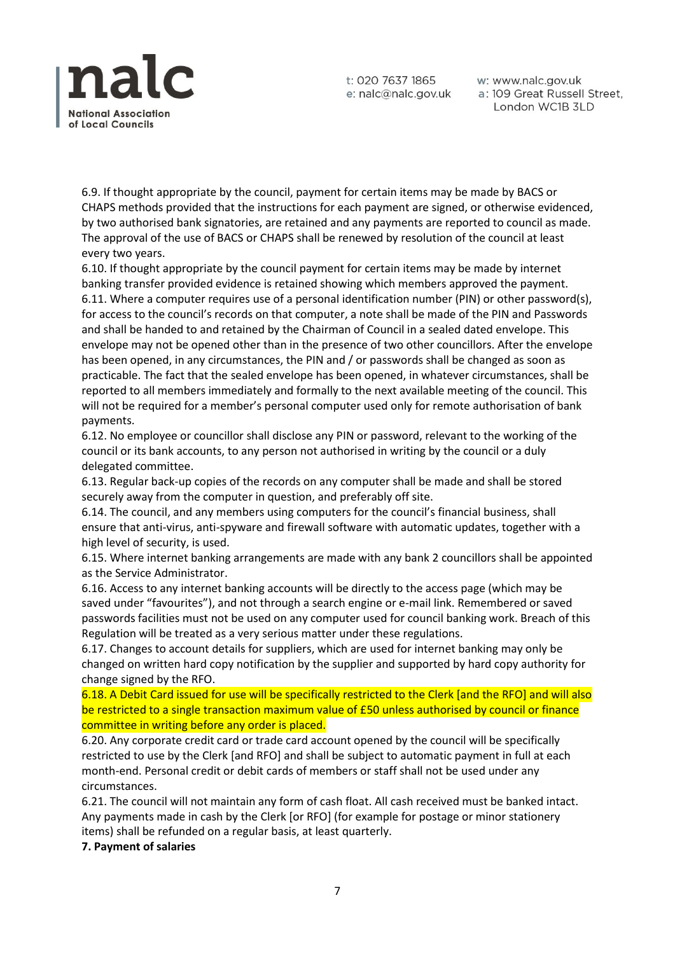

w: www.nalc.gov.uk a: 109 Great Russell Street, London WC1B 3LD

6.9. If thought appropriate by the council, payment for certain items may be made by BACS or CHAPS methods provided that the instructions for each payment are signed, or otherwise evidenced, by two authorised bank signatories, are retained and any payments are reported to council as made. The approval of the use of BACS or CHAPS shall be renewed by resolution of the council at least every two years.

6.10. If thought appropriate by the council payment for certain items may be made by internet banking transfer provided evidence is retained showing which members approved the payment. 6.11. Where a computer requires use of a personal identification number (PIN) or other password(s), for access to the council's records on that computer, a note shall be made of the PIN and Passwords and shall be handed to and retained by the Chairman of Council in a sealed dated envelope. This envelope may not be opened other than in the presence of two other councillors. After the envelope has been opened, in any circumstances, the PIN and / or passwords shall be changed as soon as practicable. The fact that the sealed envelope has been opened, in whatever circumstances, shall be reported to all members immediately and formally to the next available meeting of the council. This will not be required for a member's personal computer used only for remote authorisation of bank payments.

6.12. No employee or councillor shall disclose any PIN or password, relevant to the working of the council or its bank accounts, to any person not authorised in writing by the council or a duly delegated committee.

6.13. Regular back-up copies of the records on any computer shall be made and shall be stored securely away from the computer in question, and preferably off site.

6.14. The council, and any members using computers for the council's financial business, shall ensure that anti-virus, anti-spyware and firewall software with automatic updates, together with a high level of security, is used.

6.15. Where internet banking arrangements are made with any bank 2 councillors shall be appointed as the Service Administrator.

6.16. Access to any internet banking accounts will be directly to the access page (which may be saved under "favourites"), and not through a search engine or e-mail link. Remembered or saved passwords facilities must not be used on any computer used for council banking work. Breach of this Regulation will be treated as a very serious matter under these regulations.

6.17. Changes to account details for suppliers, which are used for internet banking may only be changed on written hard copy notification by the supplier and supported by hard copy authority for change signed by the RFO.

6.18. A Debit Card issued for use will be specifically restricted to the Clerk [and the RFO] and will also be restricted to a single transaction maximum value of £50 unless authorised by council or finance committee in writing before any order is placed.

6.20. Any corporate credit card or trade card account opened by the council will be specifically restricted to use by the Clerk [and RFO] and shall be subject to automatic payment in full at each month-end. Personal credit or debit cards of members or staff shall not be used under any circumstances.

6.21. The council will not maintain any form of cash float. All cash received must be banked intact. Any payments made in cash by the Clerk [or RFO] (for example for postage or minor stationery items) shall be refunded on a regular basis, at least quarterly.

**7. Payment of salaries**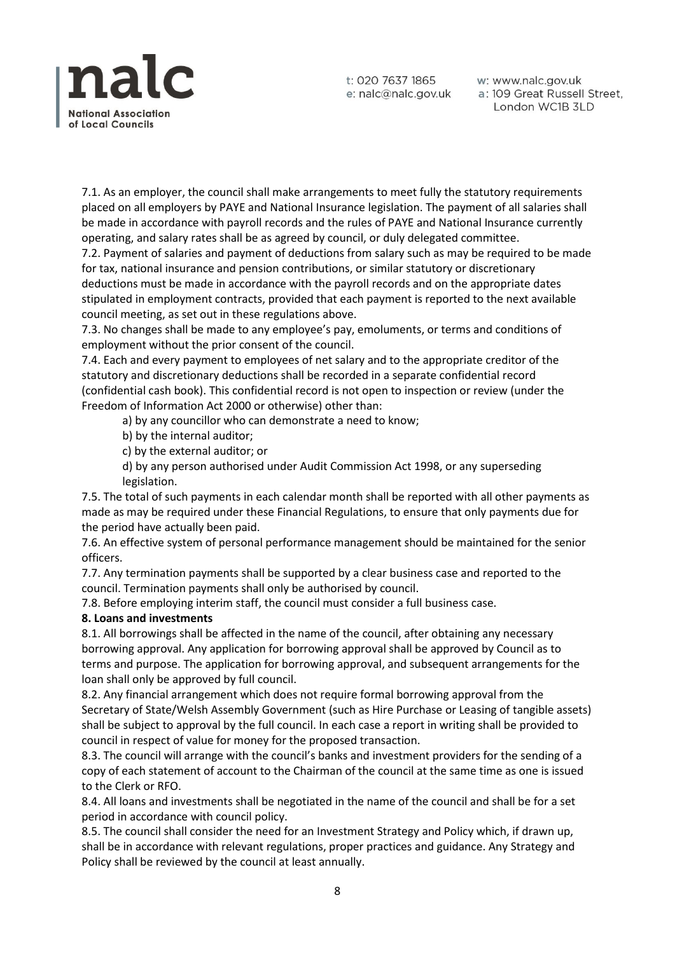

w: www.nalc.gov.uk a: 109 Great Russell Street, London WC1B 3LD

7.1. As an employer, the council shall make arrangements to meet fully the statutory requirements placed on all employers by PAYE and National Insurance legislation. The payment of all salaries shall be made in accordance with payroll records and the rules of PAYE and National Insurance currently operating, and salary rates shall be as agreed by council, or duly delegated committee.

7.2. Payment of salaries and payment of deductions from salary such as may be required to be made for tax, national insurance and pension contributions, or similar statutory or discretionary deductions must be made in accordance with the payroll records and on the appropriate dates stipulated in employment contracts, provided that each payment is reported to the next available council meeting, as set out in these regulations above.

7.3. No changes shall be made to any employee's pay, emoluments, or terms and conditions of employment without the prior consent of the council.

7.4. Each and every payment to employees of net salary and to the appropriate creditor of the statutory and discretionary deductions shall be recorded in a separate confidential record (confidential cash book). This confidential record is not open to inspection or review (under the Freedom of Information Act 2000 or otherwise) other than:

a) by any councillor who can demonstrate a need to know;

- b) by the internal auditor;
- c) by the external auditor; or
- d) by any person authorised under Audit Commission Act 1998, or any superseding legislation.

7.5. The total of such payments in each calendar month shall be reported with all other payments as made as may be required under these Financial Regulations, to ensure that only payments due for the period have actually been paid.

7.6. An effective system of personal performance management should be maintained for the senior officers.

7.7. Any termination payments shall be supported by a clear business case and reported to the council. Termination payments shall only be authorised by council.

7.8. Before employing interim staff, the council must consider a full business case.

#### **8. Loans and investments**

8.1. All borrowings shall be affected in the name of the council, after obtaining any necessary borrowing approval. Any application for borrowing approval shall be approved by Council as to terms and purpose. The application for borrowing approval, and subsequent arrangements for the loan shall only be approved by full council.

8.2. Any financial arrangement which does not require formal borrowing approval from the Secretary of State/Welsh Assembly Government (such as Hire Purchase or Leasing of tangible assets) shall be subject to approval by the full council. In each case a report in writing shall be provided to council in respect of value for money for the proposed transaction.

8.3. The council will arrange with the council's banks and investment providers for the sending of a copy of each statement of account to the Chairman of the council at the same time as one is issued to the Clerk or RFO.

8.4. All loans and investments shall be negotiated in the name of the council and shall be for a set period in accordance with council policy.

8.5. The council shall consider the need for an Investment Strategy and Policy which, if drawn up, shall be in accordance with relevant regulations, proper practices and guidance. Any Strategy and Policy shall be reviewed by the council at least annually.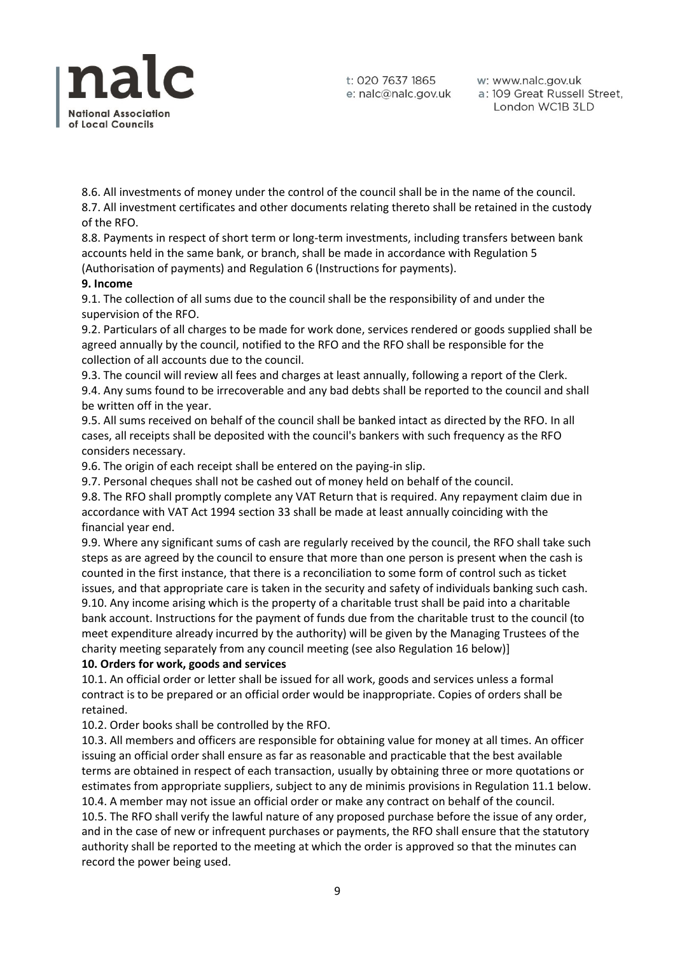

w: www.nalc.gov.uk a: 109 Great Russell Street, London WC1B 3LD

8.6. All investments of money under the control of the council shall be in the name of the council. 8.7. All investment certificates and other documents relating thereto shall be retained in the custody of the RFO.

8.8. Payments in respect of short term or long-term investments, including transfers between bank accounts held in the same bank, or branch, shall be made in accordance with Regulation 5 (Authorisation of payments) and Regulation 6 (Instructions for payments).

## **9. Income**

9.1. The collection of all sums due to the council shall be the responsibility of and under the supervision of the RFO.

9.2. Particulars of all charges to be made for work done, services rendered or goods supplied shall be agreed annually by the council, notified to the RFO and the RFO shall be responsible for the collection of all accounts due to the council.

9.3. The council will review all fees and charges at least annually, following a report of the Clerk. 9.4. Any sums found to be irrecoverable and any bad debts shall be reported to the council and shall be written off in the year.

9.5. All sums received on behalf of the council shall be banked intact as directed by the RFO. In all cases, all receipts shall be deposited with the council's bankers with such frequency as the RFO considers necessary.

9.6. The origin of each receipt shall be entered on the paying-in slip.

9.7. Personal cheques shall not be cashed out of money held on behalf of the council.

9.8. The RFO shall promptly complete any VAT Return that is required. Any repayment claim due in accordance with VAT Act 1994 section 33 shall be made at least annually coinciding with the financial year end.

9.9. Where any significant sums of cash are regularly received by the council, the RFO shall take such steps as are agreed by the council to ensure that more than one person is present when the cash is counted in the first instance, that there is a reconciliation to some form of control such as ticket issues, and that appropriate care is taken in the security and safety of individuals banking such cash. 9.10. Any income arising which is the property of a charitable trust shall be paid into a charitable bank account. Instructions for the payment of funds due from the charitable trust to the council (to meet expenditure already incurred by the authority) will be given by the Managing Trustees of the charity meeting separately from any council meeting (see also Regulation 16 below)]

# **10. Orders for work, goods and services**

10.1. An official order or letter shall be issued for all work, goods and services unless a formal contract is to be prepared or an official order would be inappropriate. Copies of orders shall be retained.

10.2. Order books shall be controlled by the RFO.

10.3. All members and officers are responsible for obtaining value for money at all times. An officer issuing an official order shall ensure as far as reasonable and practicable that the best available terms are obtained in respect of each transaction, usually by obtaining three or more quotations or estimates from appropriate suppliers, subject to any de minimis provisions in Regulation 11.1 below. 10.4. A member may not issue an official order or make any contract on behalf of the council.

10.5. The RFO shall verify the lawful nature of any proposed purchase before the issue of any order, and in the case of new or infrequent purchases or payments, the RFO shall ensure that the statutory authority shall be reported to the meeting at which the order is approved so that the minutes can record the power being used.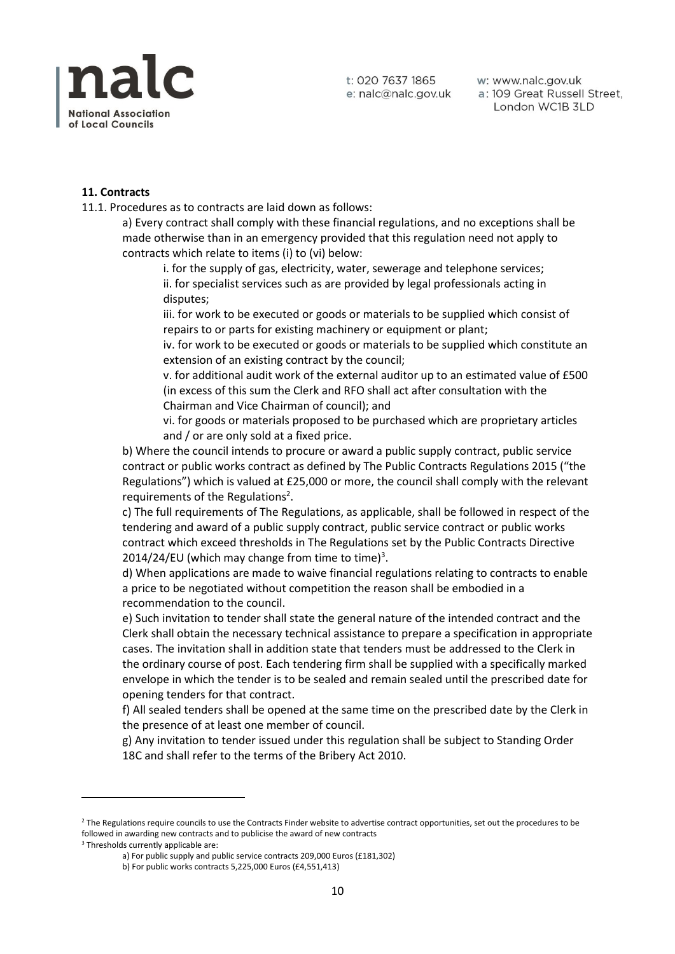

w: www.nalc.gov.uk a: 109 Great Russell Street, London WC1B 3LD

#### **11. Contracts**

11.1. Procedures as to contracts are laid down as follows:

a) Every contract shall comply with these financial regulations, and no exceptions shall be made otherwise than in an emergency provided that this regulation need not apply to contracts which relate to items (i) to (vi) below:

i. for the supply of gas, electricity, water, sewerage and telephone services; ii. for specialist services such as are provided by legal professionals acting in disputes;

iii. for work to be executed or goods or materials to be supplied which consist of repairs to or parts for existing machinery or equipment or plant;

iv. for work to be executed or goods or materials to be supplied which constitute an extension of an existing contract by the council;

v. for additional audit work of the external auditor up to an estimated value of £500 (in excess of this sum the Clerk and RFO shall act after consultation with the Chairman and Vice Chairman of council); and

vi. for goods or materials proposed to be purchased which are proprietary articles and / or are only sold at a fixed price.

b) Where the council intends to procure or award a public supply contract, public service contract or public works contract as defined by The Public Contracts Regulations 2015 ("the Regulations") which is valued at £25,000 or more, the council shall comply with the relevant requirements of the Regulations<sup>2</sup>.

c) The full requirements of The Regulations, as applicable, shall be followed in respect of the tendering and award of a public supply contract, public service contract or public works contract which exceed thresholds in The Regulations set by the Public Contracts Directive 2014/24/EU (which may change from time to time)<sup>3</sup>.

d) When applications are made to waive financial regulations relating to contracts to enable a price to be negotiated without competition the reason shall be embodied in a recommendation to the council.

e) Such invitation to tender shall state the general nature of the intended contract and the Clerk shall obtain the necessary technical assistance to prepare a specification in appropriate cases. The invitation shall in addition state that tenders must be addressed to the Clerk in the ordinary course of post. Each tendering firm shall be supplied with a specifically marked envelope in which the tender is to be sealed and remain sealed until the prescribed date for opening tenders for that contract.

f) All sealed tenders shall be opened at the same time on the prescribed date by the Clerk in the presence of at least one member of council.

g) Any invitation to tender issued under this regulation shall be subject to Standing Order 18C and shall refer to the terms of the Bribery Act 2010.

<sup>&</sup>lt;sup>2</sup> The Regulations require councils to use the Contracts Finder website to advertise contract opportunities, set out the procedures to be followed in awarding new contracts and to publicise the award of new contracts

<sup>&</sup>lt;sup>3</sup> Thresholds currently applicable are:

a) For public supply and public service contracts 209,000 Euros (£181,302)

b) For public works contracts 5,225,000 Euros (£4,551,413)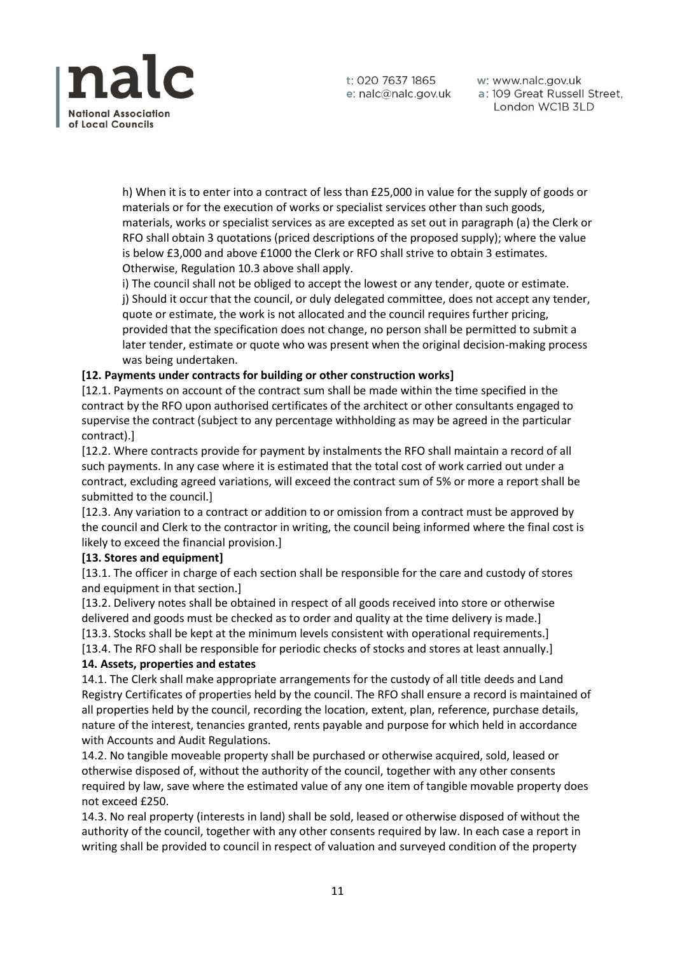

w: www.nalc.gov.uk a: 109 Great Russell Street, London WC1B 3LD

h) When it is to enter into a contract of less than £25,000 in value for the supply of goods or materials or for the execution of works or specialist services other than such goods, materials, works or specialist services as are excepted as set out in paragraph (a) the Clerk or RFO shall obtain 3 quotations (priced descriptions of the proposed supply); where the value is below £3,000 and above £1000 the Clerk or RFO shall strive to obtain 3 estimates. Otherwise, Regulation 10.3 above shall apply.

i) The council shall not be obliged to accept the lowest or any tender, quote or estimate. j) Should it occur that the council, or duly delegated committee, does not accept any tender, quote or estimate, the work is not allocated and the council requires further pricing, provided that the specification does not change, no person shall be permitted to submit a later tender, estimate or quote who was present when the original decision-making process was being undertaken.

# **[12. Payments under contracts for building or other construction works]**

[12.1. Payments on account of the contract sum shall be made within the time specified in the contract by the RFO upon authorised certificates of the architect or other consultants engaged to supervise the contract (subject to any percentage withholding as may be agreed in the particular contract).]

[12.2. Where contracts provide for payment by instalments the RFO shall maintain a record of all such payments. In any case where it is estimated that the total cost of work carried out under a contract, excluding agreed variations, will exceed the contract sum of 5% or more a report shall be submitted to the council.]

[12.3. Any variation to a contract or addition to or omission from a contract must be approved by the council and Clerk to the contractor in writing, the council being informed where the final cost is likely to exceed the financial provision.]

# **[13. Stores and equipment]**

[13.1. The officer in charge of each section shall be responsible for the care and custody of stores and equipment in that section.]

[13.2. Delivery notes shall be obtained in respect of all goods received into store or otherwise delivered and goods must be checked as to order and quality at the time delivery is made.] [13.3. Stocks shall be kept at the minimum levels consistent with operational requirements.] [13.4. The RFO shall be responsible for periodic checks of stocks and stores at least annually.]

# **14. Assets, properties and estates**

14.1. The Clerk shall make appropriate arrangements for the custody of all title deeds and Land Registry Certificates of properties held by the council. The RFO shall ensure a record is maintained of all properties held by the council, recording the location, extent, plan, reference, purchase details, nature of the interest, tenancies granted, rents payable and purpose for which held in accordance with Accounts and Audit Regulations.

14.2. No tangible moveable property shall be purchased or otherwise acquired, sold, leased or otherwise disposed of, without the authority of the council, together with any other consents required by law, save where the estimated value of any one item of tangible movable property does not exceed £250.

14.3. No real property (interests in land) shall be sold, leased or otherwise disposed of without the authority of the council, together with any other consents required by law. In each case a report in writing shall be provided to council in respect of valuation and surveyed condition of the property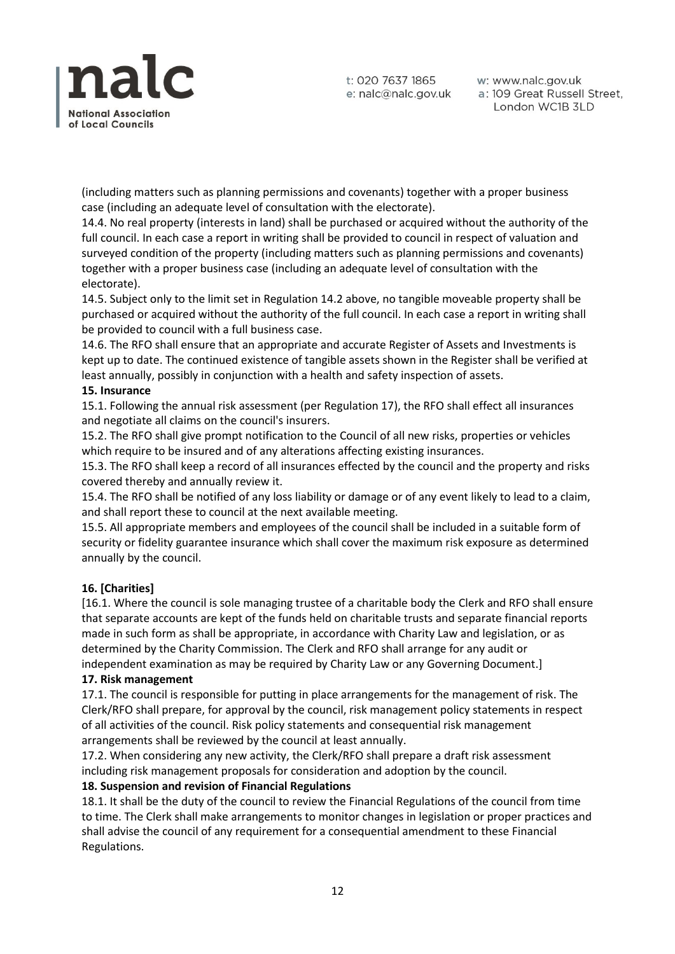

w: www.nalc.gov.uk a: 109 Great Russell Street, London WC1B 3LD

(including matters such as planning permissions and covenants) together with a proper business case (including an adequate level of consultation with the electorate).

14.4. No real property (interests in land) shall be purchased or acquired without the authority of the full council. In each case a report in writing shall be provided to council in respect of valuation and surveyed condition of the property (including matters such as planning permissions and covenants) together with a proper business case (including an adequate level of consultation with the electorate).

14.5. Subject only to the limit set in Regulation 14.2 above, no tangible moveable property shall be purchased or acquired without the authority of the full council. In each case a report in writing shall be provided to council with a full business case.

14.6. The RFO shall ensure that an appropriate and accurate Register of Assets and Investments is kept up to date. The continued existence of tangible assets shown in the Register shall be verified at least annually, possibly in conjunction with a health and safety inspection of assets.

## **15. Insurance**

15.1. Following the annual risk assessment (per Regulation 17), the RFO shall effect all insurances and negotiate all claims on the council's insurers.

15.2. The RFO shall give prompt notification to the Council of all new risks, properties or vehicles which require to be insured and of any alterations affecting existing insurances.

15.3. The RFO shall keep a record of all insurances effected by the council and the property and risks covered thereby and annually review it.

15.4. The RFO shall be notified of any loss liability or damage or of any event likely to lead to a claim, and shall report these to council at the next available meeting.

15.5. All appropriate members and employees of the council shall be included in a suitable form of security or fidelity guarantee insurance which shall cover the maximum risk exposure as determined annually by the council.

# **16. [Charities]**

[16.1. Where the council is sole managing trustee of a charitable body the Clerk and RFO shall ensure that separate accounts are kept of the funds held on charitable trusts and separate financial reports made in such form as shall be appropriate, in accordance with Charity Law and legislation, or as determined by the Charity Commission. The Clerk and RFO shall arrange for any audit or independent examination as may be required by Charity Law or any Governing Document.]

#### **17. Risk management**

17.1. The council is responsible for putting in place arrangements for the management of risk. The Clerk/RFO shall prepare, for approval by the council, risk management policy statements in respect of all activities of the council. Risk policy statements and consequential risk management arrangements shall be reviewed by the council at least annually.

17.2. When considering any new activity, the Clerk/RFO shall prepare a draft risk assessment including risk management proposals for consideration and adoption by the council.

#### **18. Suspension and revision of Financial Regulations**

18.1. It shall be the duty of the council to review the Financial Regulations of the council from time to time. The Clerk shall make arrangements to monitor changes in legislation or proper practices and shall advise the council of any requirement for a consequential amendment to these Financial Regulations.